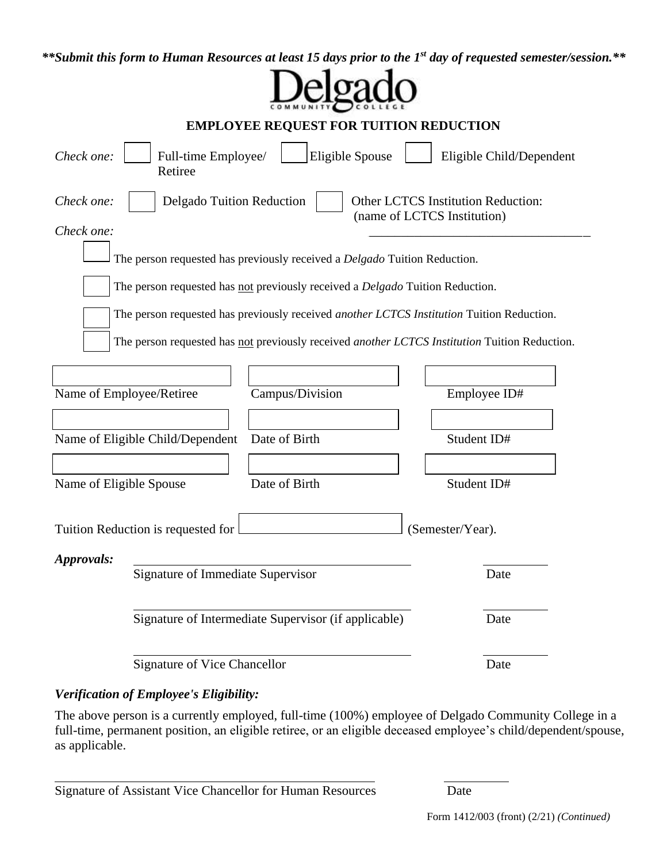*\*\*Submit this form to Human Resources at least 15 days prior to the 1st day of requested semester/session.\*\**

| <b>EMPLOYEE REQUEST FOR TUITION REDUCTION</b>                                                                                                                                                                                                                               |                 |                                                                          |  |
|-----------------------------------------------------------------------------------------------------------------------------------------------------------------------------------------------------------------------------------------------------------------------------|-----------------|--------------------------------------------------------------------------|--|
| Check one:<br>Full-time Employee/<br>Retiree                                                                                                                                                                                                                                | Eligible Spouse | Eligible Child/Dependent                                                 |  |
| Check one:<br>Delgado Tuition Reduction                                                                                                                                                                                                                                     |                 | <b>Other LCTCS Institution Reduction:</b><br>(name of LCTCS Institution) |  |
| Check one:<br>The person requested has previously received a Delgado Tuition Reduction.                                                                                                                                                                                     |                 |                                                                          |  |
| The person requested has not previously received a Delgado Tuition Reduction.<br>The person requested has previously received another LCTCS Institution Tuition Reduction.<br>The person requested has not previously received another LCTCS Institution Tuition Reduction. |                 |                                                                          |  |
| Name of Employee/Retiree                                                                                                                                                                                                                                                    | Campus/Division | Employee ID#                                                             |  |
| Name of Eligible Child/Dependent                                                                                                                                                                                                                                            | Date of Birth   | Student ID#                                                              |  |
| Name of Eligible Spouse                                                                                                                                                                                                                                                     | Date of Birth   | Student ID#                                                              |  |
| Tuition Reduction is requested for                                                                                                                                                                                                                                          |                 | (Semester/Year).                                                         |  |
| Approvals:<br>Signature of Immediate Supervisor                                                                                                                                                                                                                             |                 | Date                                                                     |  |
| Signature of Intermediate Supervisor (if applicable)                                                                                                                                                                                                                        |                 | Date                                                                     |  |
| Signature of Vice Chancellor                                                                                                                                                                                                                                                |                 | Date                                                                     |  |

# *Verification of Employee's Eligibility:*

 $\overline{a}$ 

The above person is a currently employed, full-time (100%) employee of Delgado Community College in a full-time, permanent position, an eligible retiree, or an eligible deceased employee's child/dependent/spouse, as applicable.